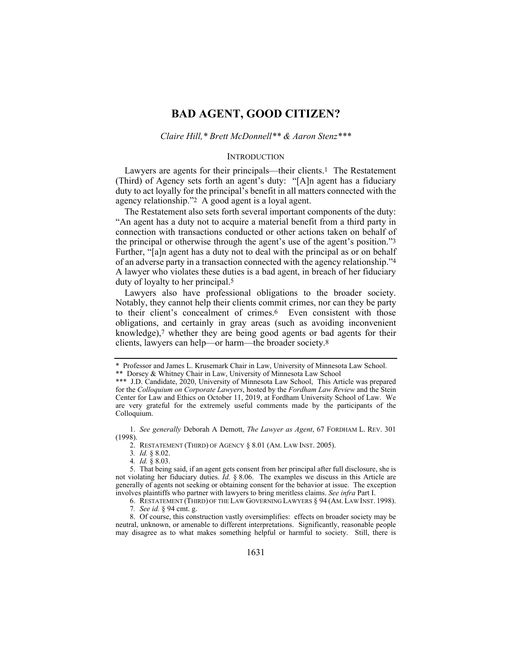# **BAD AGENT, GOOD CITIZEN?**

### *Claire Hill,\* Brett McDonnell\*\* & Aaron Stenz\*\*\**

### **INTRODUCTION**

Lawyers are agents for their principals—their clients.1 The Restatement (Third) of Agency sets forth an agent's duty: "[A]n agent has a fiduciary duty to act loyally for the principal's benefit in all matters connected with the agency relationship."2 A good agent is a loyal agent.

The Restatement also sets forth several important components of the duty: "An agent has a duty not to acquire a material benefit from a third party in connection with transactions conducted or other actions taken on behalf of the principal or otherwise through the agent's use of the agent's position."3 Further, "[a]n agent has a duty not to deal with the principal as or on behalf of an adverse party in a transaction connected with the agency relationship."4 A lawyer who violates these duties is a bad agent, in breach of her fiduciary duty of loyalty to her principal.5

Lawyers also have professional obligations to the broader society. Notably, they cannot help their clients commit crimes, nor can they be party to their client's concealment of crimes.6 Even consistent with those obligations, and certainly in gray areas (such as avoiding inconvenient knowledge), $7$  whether they are being good agents or bad agents for their clients, lawyers can help—or harm—the broader society.8

 1. *See generally* Deborah A Demott, *The Lawyer as Agent*, 67 FORDHAM L. REV. 301 (1998).

2. RESTATEMENT (THIRD) OF AGENCY § 8.01 (AM. LAW INST. 2005).

3*. Id.* § 8.02.

4*. Id.* § 8.03.

 5. That being said, if an agent gets consent from her principal after full disclosure, she is not violating her fiduciary duties. *Id.* § 8.06. The examples we discuss in this Article are generally of agents not seeking or obtaining consent for the behavior at issue. The exception involves plaintiffs who partner with lawyers to bring meritless claims. *See infra* Part I.

6. RESTATEMENT (THIRD) OF THE LAW GOVERNING LAWYERS § 94 (AM. LAW INST. 1998).

7*. See id.* § 94 cmt. g.

 8. Of course, this construction vastly oversimplifies: effects on broader society may be neutral, unknown, or amenable to different interpretations. Significantly, reasonable people may disagree as to what makes something helpful or harmful to society. Still, there is

<sup>\*</sup> Professor and James L. Krusemark Chair in Law, University of Minnesota Law School.

<sup>\*\*</sup> Dorsey & Whitney Chair in Law, University of Minnesota Law School

<sup>\*\*\*</sup> J.D. Candidate, 2020, University of Minnesota Law School, This Article was prepared for the *Colloquium on Corporate Lawyers*, hosted by the *Fordham Law Review* and the Stein Center for Law and Ethics on October 11, 2019, at Fordham University School of Law. We are very grateful for the extremely useful comments made by the participants of the Colloquium.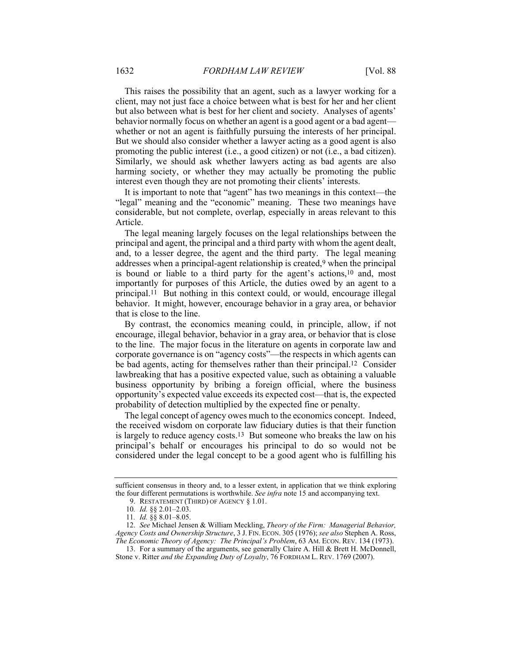This raises the possibility that an agent, such as a lawyer working for a client, may not just face a choice between what is best for her and her client but also between what is best for her client and society. Analyses of agents' behavior normally focus on whether an agent is a good agent or a bad agent whether or not an agent is faithfully pursuing the interests of her principal. But we should also consider whether a lawyer acting as a good agent is also promoting the public interest (i.e., a good citizen) or not (i.e., a bad citizen). Similarly, we should ask whether lawyers acting as bad agents are also harming society, or whether they may actually be promoting the public interest even though they are not promoting their clients' interests.

It is important to note that "agent" has two meanings in this context—the "legal" meaning and the "economic" meaning. These two meanings have considerable, but not complete, overlap, especially in areas relevant to this Article.

The legal meaning largely focuses on the legal relationships between the principal and agent, the principal and a third party with whom the agent dealt, and, to a lesser degree, the agent and the third party. The legal meaning addresses when a principal-agent relationship is created,9 when the principal is bound or liable to a third party for the agent's actions,<sup>10</sup> and, most importantly for purposes of this Article, the duties owed by an agent to a principal.11 But nothing in this context could, or would, encourage illegal behavior. It might, however, encourage behavior in a gray area, or behavior that is close to the line.

By contrast, the economics meaning could, in principle, allow, if not encourage, illegal behavior, behavior in a gray area, or behavior that is close to the line. The major focus in the literature on agents in corporate law and corporate governance is on "agency costs"—the respects in which agents can be bad agents, acting for themselves rather than their principal.12 Consider lawbreaking that has a positive expected value, such as obtaining a valuable business opportunity by bribing a foreign official, where the business opportunity's expected value exceeds its expected cost—that is, the expected probability of detection multiplied by the expected fine or penalty.

The legal concept of agency owes much to the economics concept. Indeed, the received wisdom on corporate law fiduciary duties is that their function is largely to reduce agency costs.13 But someone who breaks the law on his principal's behalf or encourages his principal to do so would not be considered under the legal concept to be a good agent who is fulfilling his

sufficient consensus in theory and, to a lesser extent, in application that we think exploring the four different permutations is worthwhile. *See infra* note 15 and accompanying text.

 <sup>9.</sup> RESTATEMENT (THIRD) OF AGENCY § 1.01.

<sup>10</sup>*. Id.* §§ 2.01–2.03.

<sup>11</sup>*. Id.* §§ 8.01–8.05.

 <sup>12.</sup> *See* Michael Jensen & William Meckling, *Theory of the Firm: Managerial Behavior, Agency Costs and Ownership Structure*, 3 J. FIN. ECON. 305 (1976); *see also* Stephen A. Ross, *The Economic Theory of Agency: The Principal's Problem*, 63 AM. ECON. REV. 134 (1973).

 <sup>13.</sup> For a summary of the arguments, see generally Claire A. Hill & Brett H. McDonnell, Stone v. Ritter *and the Expanding Duty of Loyalty*, 76 FORDHAM L. REV. 1769 (2007).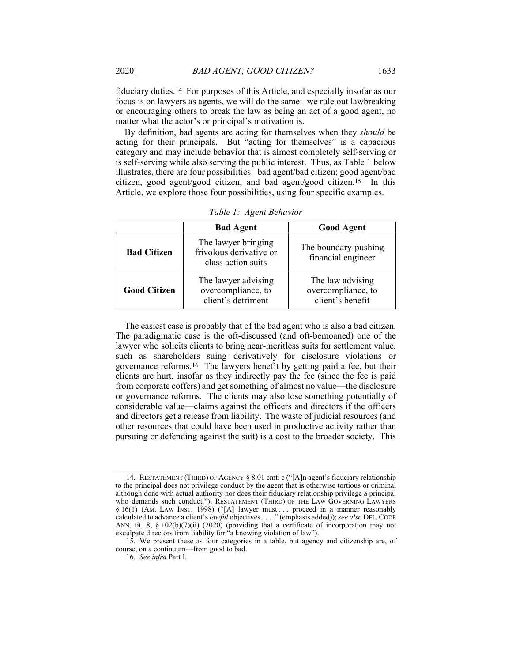fiduciary duties.14 For purposes of this Article, and especially insofar as our focus is on lawyers as agents, we will do the same: we rule out lawbreaking or encouraging others to break the law as being an act of a good agent, no matter what the actor's or principal's motivation is.

By definition, bad agents are acting for themselves when they *should* be acting for their principals. But "acting for themselves" is a capacious category and may include behavior that is almost completely self-serving or is self-serving while also serving the public interest. Thus, as Table 1 below illustrates, there are four possibilities: bad agent/bad citizen; good agent/bad citizen, good agent/good citizen, and bad agent/good citizen.15 In this Article, we explore those four possibilities, using four specific examples.

|                     | <b>Bad Agent</b>                                                     | <b>Good Agent</b>                                          |
|---------------------|----------------------------------------------------------------------|------------------------------------------------------------|
| <b>Bad Citizen</b>  | The lawyer bringing<br>frivolous derivative or<br>class action suits | The boundary-pushing<br>financial engineer                 |
| <b>Good Citizen</b> | The lawyer advising<br>overcompliance, to<br>client's detriment      | The law advising<br>overcompliance, to<br>client's benefit |

*Table 1: Agent Behavior* 

The easiest case is probably that of the bad agent who is also a bad citizen. The paradigmatic case is the oft-discussed (and oft-bemoaned) one of the lawyer who solicits clients to bring near-meritless suits for settlement value, such as shareholders suing derivatively for disclosure violations or governance reforms.16 The lawyers benefit by getting paid a fee, but their clients are hurt, insofar as they indirectly pay the fee (since the fee is paid from corporate coffers) and get something of almost no value—the disclosure or governance reforms. The clients may also lose something potentially of considerable value—claims against the officers and directors if the officers and directors get a release from liability. The waste of judicial resources (and other resources that could have been used in productive activity rather than pursuing or defending against the suit) is a cost to the broader society. This

 <sup>14.</sup> RESTATEMENT (THIRD) OF AGENCY § 8.01 cmt. c ("[A]n agent's fiduciary relationship to the principal does not privilege conduct by the agent that is otherwise tortious or criminal although done with actual authority nor does their fiduciary relationship privilege a principal who demands such conduct."); RESTATEMENT (THIRD) OF THE LAW GOVERNING LAWYERS § 16(1) (AM. LAW INST. 1998) ("[A] lawyer must ... proceed in a manner reasonably calculated to advance a client's *lawful* objectives . . . ." (emphasis added)); *see also* DEL.CODE ANN. tit. 8, § 102(b)(7)(ii) (2020) (providing that a certificate of incorporation may not exculpate directors from liability for "a knowing violation of law").

 <sup>15.</sup> We present these as four categories in a table, but agency and citizenship are, of course, on a continuum—from good to bad.

<sup>16</sup>*. See infra* Part I.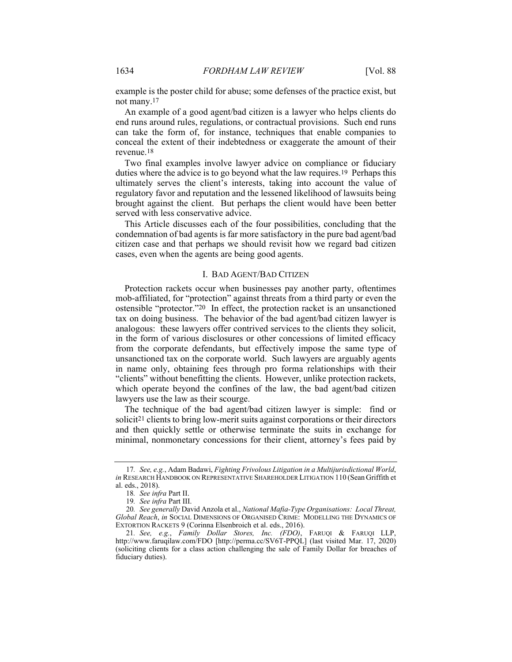example is the poster child for abuse; some defenses of the practice exist, but not many.17

An example of a good agent/bad citizen is a lawyer who helps clients do end runs around rules, regulations, or contractual provisions. Such end runs can take the form of, for instance, techniques that enable companies to conceal the extent of their indebtedness or exaggerate the amount of their revenue.18

Two final examples involve lawyer advice on compliance or fiduciary duties where the advice is to go beyond what the law requires.19 Perhaps this ultimately serves the client's interests, taking into account the value of regulatory favor and reputation and the lessened likelihood of lawsuits being brought against the client. But perhaps the client would have been better served with less conservative advice.

This Article discusses each of the four possibilities, concluding that the condemnation of bad agents is far more satisfactory in the pure bad agent/bad citizen case and that perhaps we should revisit how we regard bad citizen cases, even when the agents are being good agents.

### I. BAD AGENT/BAD CITIZEN

Protection rackets occur when businesses pay another party, oftentimes mob-affiliated, for "protection" against threats from a third party or even the ostensible "protector."20 In effect, the protection racket is an unsanctioned tax on doing business. The behavior of the bad agent/bad citizen lawyer is analogous: these lawyers offer contrived services to the clients they solicit, in the form of various disclosures or other concessions of limited efficacy from the corporate defendants, but effectively impose the same type of unsanctioned tax on the corporate world. Such lawyers are arguably agents in name only, obtaining fees through pro forma relationships with their "clients" without benefitting the clients. However, unlike protection rackets, which operate beyond the confines of the law, the bad agent/bad citizen lawyers use the law as their scourge.

The technique of the bad agent/bad citizen lawyer is simple: find or solicit21 clients to bring low-merit suits against corporations or their directors and then quickly settle or otherwise terminate the suits in exchange for minimal, nonmonetary concessions for their client, attorney's fees paid by

<sup>17</sup>*. See, e.g.*, Adam Badawi, *Fighting Frivolous Litigation in a Multijurisdictional World*, *in* RESEARCH HANDBOOK ON REPRESENTATIVE SHAREHOLDER LITIGATION 110 (Sean Griffith et al. eds., 2018).

<sup>18</sup>*. See infra* Part II.

<sup>19</sup>*. See infra* Part III.

<sup>20</sup>*. See generally* David Anzola et al., *National Mafia-Type Organisations: Local Threat, Global Reach*, *in* SOCIAL DIMENSIONS OF ORGANISED CRIME: MODELLING THE DYNAMICS OF EXTORTION RACKETS 9 (Corinna Elsenbroich et al. eds., 2016).

<sup>21</sup>*. See, e.g.*, *Family Dollar Stores, Inc. (FDO)*, FARUQI & FARUQI LLP, http://www.faruqilaw.com/FDO [http://perma.cc/SV6T-PPQL] (last visited Mar. 17, 2020) (soliciting clients for a class action challenging the sale of Family Dollar for breaches of fiduciary duties).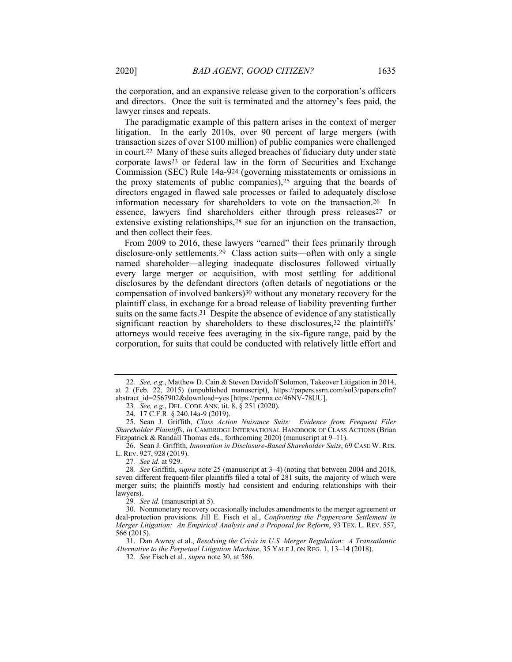The paradigmatic example of this pattern arises in the context of merger litigation. In the early 2010s, over 90 percent of large mergers (with transaction sizes of over \$100 million) of public companies were challenged in court.22 Many of these suits alleged breaches of fiduciary duty under state corporate laws23 or federal law in the form of Securities and Exchange Commission (SEC) Rule 14a-924 (governing misstatements or omissions in the proxy statements of public companies),25 arguing that the boards of directors engaged in flawed sale processes or failed to adequately disclose information necessary for shareholders to vote on the transaction.26 In essence, lawyers find shareholders either through press releases<sup>27</sup> or extensive existing relationships,28 sue for an injunction on the transaction, and then collect their fees.

From 2009 to 2016, these lawyers "earned" their fees primarily through disclosure-only settlements.29 Class action suits—often with only a single named shareholder—alleging inadequate disclosures followed virtually every large merger or acquisition, with most settling for additional disclosures by the defendant directors (often details of negotiations or the compensation of involved bankers)30 without any monetary recovery for the plaintiff class, in exchange for a broad release of liability preventing further suits on the same facts.<sup>31</sup> Despite the absence of evidence of any statistically significant reaction by shareholders to these disclosures,<sup>32</sup> the plaintiffs' attorneys would receive fees averaging in the six-figure range, paid by the corporation, for suits that could be conducted with relatively little effort and

lawyer rinses and repeats.

<sup>22</sup>*. See, e.g.*, Matthew D. Cain & Steven Davidoff Solomon, Takeover Litigation in 2014, at 2 (Feb. 22, 2015) (unpublished manuscript), https://papers.ssrn.com/sol3/papers.cfm? abstract\_id=2567902&download=yes [https://perma.cc/46NV-78UU].

<sup>23</sup>*. See, e.g.*, DEL. CODE ANN. tit. 8, § 251 (2020).

 <sup>24. 17</sup> C.F.R. § 240.14a-9 (2019).

 <sup>25.</sup> Sean J. Griffith, *Class Action Nuisance Suits: Evidence from Frequent Filer Shareholder Plaintiffs*, *in* CAMBRIDGE INTERNATIONAL HANDBOOK OF CLASS ACTIONS (Brian Fitzpatrick & Randall Thomas eds., forthcoming 2020) (manuscript at 9–11).

 <sup>26.</sup> Sean J. Griffith, *Innovation in Disclosure-Based Shareholder Suits*, 69 CASE W. RES. L. REV. 927, 928 (2019).

<sup>27</sup>*. See id.* at 929.

<sup>28</sup>*. See* Griffith, *supra* note 25 (manuscript at 3–4) (noting that between 2004 and 2018, seven different frequent-filer plaintiffs filed a total of 281 suits, the majority of which were merger suits; the plaintiffs mostly had consistent and enduring relationships with their lawyers).

<sup>29</sup>*. See id.* (manuscript at 5).

 <sup>30.</sup> Nonmonetary recovery occasionally includes amendments to the merger agreement or deal-protection provisions. Jill E. Fisch et al., *Confronting the Peppercorn Settlement in Merger Litigation: An Empirical Analysis and a Proposal for Reform*, 93 TEX. L. REV. 557, 566 (2015).

 <sup>31.</sup> Dan Awrey et al., *Resolving the Crisis in U.S. Merger Regulation: A Transatlantic Alternative to the Perpetual Litigation Machine*, 35 YALE J. ON REG. 1, 13–14 (2018).

<sup>32</sup>*. See* Fisch et al., *supra* note 30, at 586.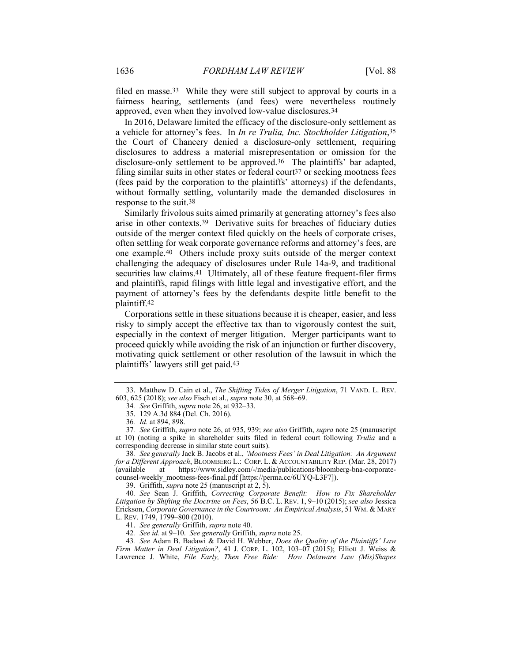filed en masse.33 While they were still subject to approval by courts in a fairness hearing, settlements (and fees) were nevertheless routinely approved, even when they involved low-value disclosures.34

In 2016, Delaware limited the efficacy of the disclosure-only settlement as a vehicle for attorney's fees. In *In re Trulia, Inc. Stockholder Litigation*,35 the Court of Chancery denied a disclosure-only settlement, requiring disclosures to address a material misrepresentation or omission for the disclosure-only settlement to be approved.36 The plaintiffs' bar adapted, filing similar suits in other states or federal court<sup>37</sup> or seeking mootness fees (fees paid by the corporation to the plaintiffs' attorneys) if the defendants, without formally settling, voluntarily made the demanded disclosures in response to the suit.38

Similarly frivolous suits aimed primarily at generating attorney's fees also arise in other contexts.39 Derivative suits for breaches of fiduciary duties outside of the merger context filed quickly on the heels of corporate crises, often settling for weak corporate governance reforms and attorney's fees, are one example.40 Others include proxy suits outside of the merger context challenging the adequacy of disclosures under Rule 14a-9, and traditional securities law claims.<sup>41</sup> Ultimately, all of these feature frequent-filer firms and plaintiffs, rapid filings with little legal and investigative effort, and the payment of attorney's fees by the defendants despite little benefit to the plaintiff.42

Corporations settle in these situations because it is cheaper, easier, and less risky to simply accept the effective tax than to vigorously contest the suit, especially in the context of merger litigation. Merger participants want to proceed quickly while avoiding the risk of an injunction or further discovery, motivating quick settlement or other resolution of the lawsuit in which the plaintiffs' lawyers still get paid.43

39. Griffith, *supra* note 25 (manuscript at 2, 5).

42*. See id.* at 9–10. *See generally* Griffith, *supra* note 25.

 <sup>33.</sup> Matthew D. Cain et al., *The Shifting Tides of Merger Litigation*, 71 VAND. L. REV. 603, 625 (2018); *see also* Fisch et al., *supra* note 30, at 568–69.

<sup>34</sup>*. See* Griffith, *supra* note 26, at 932–33.

 <sup>35. 129</sup> A.3d 884 (Del. Ch. 2016).

<sup>36</sup>*. Id.* at 894, 898.

<sup>37</sup>*. See* Griffith, *supra* note 26, at 935, 939; *see also* Griffith, *supra* note 25 (manuscript at 10) (noting a spike in shareholder suits filed in federal court following *Trulia* and a corresponding decrease in similar state court suits).

<sup>38</sup>*. See generally* Jack B. Jacobs et al., *'Mootness Fees' in Deal Litigation: An Argument for a Different Approach*, BLOOMBERG L.: CORP. L. & ACCOUNTABILITY REP. (Mar. 28, 2017) (available at https://www.sidley.com/-/media/publications/bloomberg-bna-corporatecounsel-weekly\_mootness-fees-final.pdf [https://perma.cc/6UYQ-L3F7]).

<sup>40</sup>*. See* Sean J. Griffith, *Correcting Corporate Benefit: How to Fix Shareholder Litigation by Shifting the Doctrine on Fees*, 56 B.C. L. REV. 1, 9–10 (2015); *see also* Jessica Erickson, *Corporate Governance in the Courtroom: An Empirical Analysis*, 51 WM. & MARY L. REV. 1749, 1799–800 (2010).

 <sup>41.</sup> *See generally* Griffith, *supra* note 40.

<sup>43</sup>*. See* Adam B. Badawi & David H. Webber, *Does the Quality of the Plaintiffs' Law Firm Matter in Deal Litigation?*, 41 J. CORP. L. 102, 103–07 (2015); Elliott J. Weiss & Lawrence J. White, *File Early, Then Free Ride: How Delaware Law (Mis)Shapes*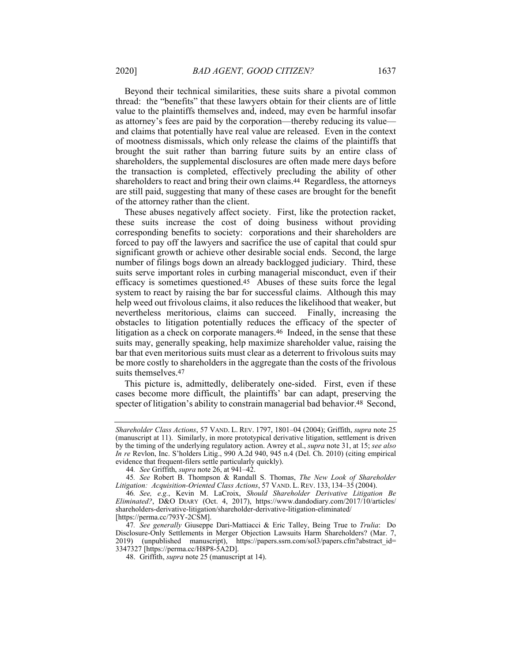Beyond their technical similarities, these suits share a pivotal common thread: the "benefits" that these lawyers obtain for their clients are of little value to the plaintiffs themselves and, indeed, may even be harmful insofar as attorney's fees are paid by the corporation—thereby reducing its value and claims that potentially have real value are released. Even in the context of mootness dismissals, which only release the claims of the plaintiffs that brought the suit rather than barring future suits by an entire class of shareholders, the supplemental disclosures are often made mere days before the transaction is completed, effectively precluding the ability of other shareholders to react and bring their own claims.44 Regardless, the attorneys are still paid, suggesting that many of these cases are brought for the benefit of the attorney rather than the client.

These abuses negatively affect society. First, like the protection racket, these suits increase the cost of doing business without providing corresponding benefits to society: corporations and their shareholders are forced to pay off the lawyers and sacrifice the use of capital that could spur significant growth or achieve other desirable social ends. Second, the large number of filings bogs down an already backlogged judiciary. Third, these suits serve important roles in curbing managerial misconduct, even if their efficacy is sometimes questioned.45 Abuses of these suits force the legal system to react by raising the bar for successful claims. Although this may help weed out frivolous claims, it also reduces the likelihood that weaker, but nevertheless meritorious, claims can succeed. Finally, increasing the obstacles to litigation potentially reduces the efficacy of the specter of litigation as a check on corporate managers.<sup>46</sup> Indeed, in the sense that these suits may, generally speaking, help maximize shareholder value, raising the bar that even meritorious suits must clear as a deterrent to frivolous suits may be more costly to shareholders in the aggregate than the costs of the frivolous suits themselves.47

This picture is, admittedly, deliberately one-sided. First, even if these cases become more difficult, the plaintiffs' bar can adapt, preserving the specter of litigation's ability to constrain managerial bad behavior.<sup>48</sup> Second,

*Shareholder Class Actions*, 57 VAND. L. REV. 1797, 1801–04 (2004); Griffith, *supra* note 25 (manuscript at 11). Similarly, in more prototypical derivative litigation, settlement is driven by the timing of the underlying regulatory action. Awrey et al., *supra* note 31, at 15; *see also In re* Revlon, Inc. S'holders Litig., 990 A.2d 940, 945 n.4 (Del. Ch. 2010) (citing empirical evidence that frequent-filers settle particularly quickly).

<sup>44</sup>*. See* Griffith, *supra* note 26, at 941–42.

<sup>45</sup>*. See* Robert B. Thompson & Randall S. Thomas, *The New Look of Shareholder Litigation: Acquisition-Oriented Class Actions*, 57 VAND. L. REV. 133, 134–35 (2004).

<sup>46</sup>*. See, e.g.*, Kevin M. LaCroix, *Should Shareholder Derivative Litigation Be Eliminated?*, D&O DIARY (Oct. 4, 2017), https://www.dandodiary.com/2017/10/articles/ shareholders-derivative-litigation/shareholder-derivative-litigation-eliminated/ [https://perma.cc/793Y-2CSM].

<sup>47</sup>*. See generally* Giuseppe Dari-Mattiacci & Eric Talley, Being True to *Trulia*: Do Disclosure-Only Settlements in Merger Objection Lawsuits Harm Shareholders? (Mar. 7, 2019) (unpublished manuscript), https://papers.ssrn.com/sol3/papers.cfm?abstract\_id= 3347327 [https://perma.cc/H8P8-5A2D].

 <sup>48.</sup> Griffith, *supra* note 25 (manuscript at 14).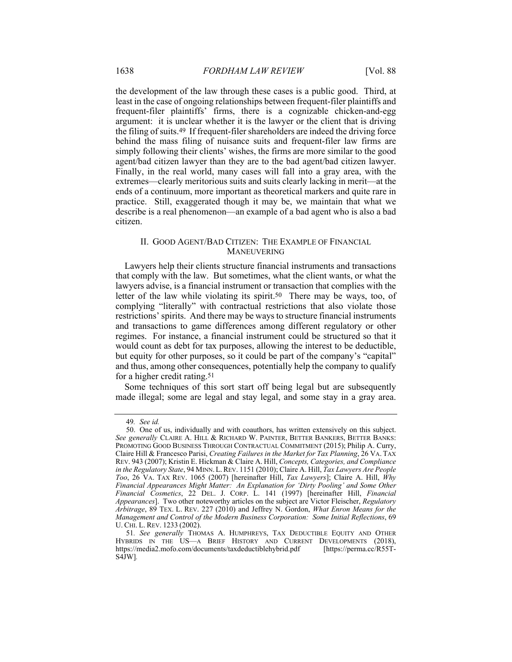the development of the law through these cases is a public good. Third, at least in the case of ongoing relationships between frequent-filer plaintiffs and frequent-filer plaintiffs' firms, there is a cognizable chicken-and-egg argument: it is unclear whether it is the lawyer or the client that is driving the filing of suits.49 If frequent-filer shareholders are indeed the driving force behind the mass filing of nuisance suits and frequent-filer law firms are simply following their clients' wishes, the firms are more similar to the good agent/bad citizen lawyer than they are to the bad agent/bad citizen lawyer. Finally, in the real world, many cases will fall into a gray area, with the extremes—clearly meritorious suits and suits clearly lacking in merit—at the ends of a continuum, more important as theoretical markers and quite rare in practice. Still, exaggerated though it may be, we maintain that what we describe is a real phenomenon—an example of a bad agent who is also a bad citizen.

## II. GOOD AGENT/BAD CITIZEN: THE EXAMPLE OF FINANCIAL MANEUVERING

Lawyers help their clients structure financial instruments and transactions that comply with the law. But sometimes, what the client wants, or what the lawyers advise, is a financial instrument or transaction that complies with the letter of the law while violating its spirit.50 There may be ways, too, of complying "literally" with contractual restrictions that also violate those restrictions' spirits. And there may be ways to structure financial instruments and transactions to game differences among different regulatory or other regimes. For instance, a financial instrument could be structured so that it would count as debt for tax purposes, allowing the interest to be deductible, but equity for other purposes, so it could be part of the company's "capital" and thus, among other consequences, potentially help the company to qualify for a higher credit rating.51

Some techniques of this sort start off being legal but are subsequently made illegal; some are legal and stay legal, and some stay in a gray area.

<sup>49</sup>*. See id.* 

 <sup>50.</sup> One of us, individually and with coauthors, has written extensively on this subject. *See generally* CLAIRE A. HILL & RICHARD W. PAINTER, BETTER BANKERS, BETTER BANKS: PROMOTING GOOD BUSINESS THROUGH CONTRACTUAL COMMITMENT (2015); Philip A. Curry, Claire Hill & Francesco Parisi, *Creating Failures in the Market for Tax Planning*, 26 VA. TAX REV. 943 (2007); Kristin E. Hickman & Claire A. Hill, *Concepts, Categories, and Compliance in the Regulatory State*, 94 MINN.L.REV. 1151 (2010); Claire A. Hill, *Tax Lawyers Are People Too*, 26 VA. TAX REV. 1065 (2007) [hereinafter Hill, *Tax Lawyers*]; Claire A. Hill, *Why Financial Appearances Might Matter: An Explanation for 'Dirty Pooling' and Some Other Financial Cosmetics*, 22 DEL. J. CORP. L. 141 (1997) [hereinafter Hill, *Financial Appearances*]. Two other noteworthy articles on the subject are Victor Fleischer, *Regulatory Arbitrage*, 89 TEX. L. REV. 227 (2010) and Jeffrey N. Gordon, *What Enron Means for the Management and Control of the Modern Business Corporation: Some Initial Reflections*, 69 U. CHI. L. REV. 1233 (2002).

<sup>51</sup>*. See generally* THOMAS A. HUMPHREYS, TAX DEDUCTIBLE EQUITY AND OTHER HYBRIDS IN THE US—A BRIEF HISTORY AND CURRENT DEVELOPMENTS (2018), https://media2.mofo.com/documents/taxdeductiblehybrid.pdf [https://perma.cc/R55T-S4JW]*.*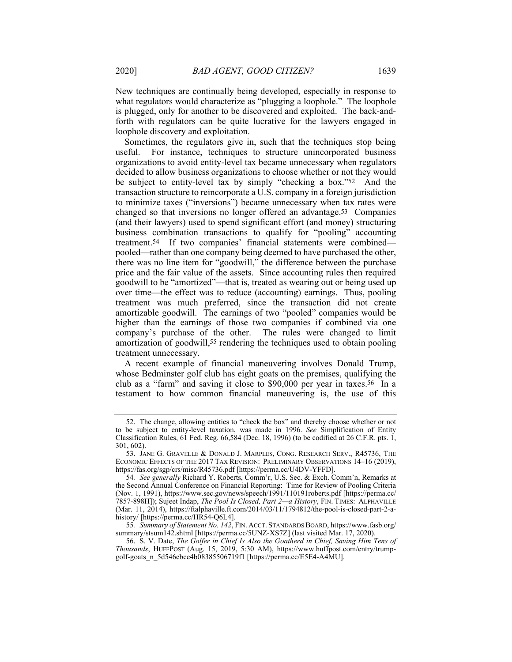New techniques are continually being developed, especially in response to what regulators would characterize as "plugging a loophole." The loophole is plugged, only for another to be discovered and exploited. The back-andforth with regulators can be quite lucrative for the lawyers engaged in loophole discovery and exploitation.

Sometimes, the regulators give in, such that the techniques stop being useful. For instance, techniques to structure unincorporated business organizations to avoid entity-level tax became unnecessary when regulators decided to allow business organizations to choose whether or not they would be subject to entity-level tax by simply "checking a box."52 And the transaction structure to reincorporate a U.S. company in a foreign jurisdiction to minimize taxes ("inversions") became unnecessary when tax rates were changed so that inversions no longer offered an advantage.53 Companies (and their lawyers) used to spend significant effort (and money) structuring business combination transactions to qualify for "pooling" accounting treatment.54 If two companies' financial statements were combined pooled—rather than one company being deemed to have purchased the other, there was no line item for "goodwill," the difference between the purchase price and the fair value of the assets. Since accounting rules then required goodwill to be "amortized"—that is, treated as wearing out or being used up over time—the effect was to reduce (accounting) earnings. Thus, pooling treatment was much preferred, since the transaction did not create amortizable goodwill. The earnings of two "pooled" companies would be higher than the earnings of those two companies if combined via one company's purchase of the other. The rules were changed to limit amortization of goodwill,55 rendering the techniques used to obtain pooling treatment unnecessary.

A recent example of financial maneuvering involves Donald Trump, whose Bedminster golf club has eight goats on the premises, qualifying the club as a "farm" and saving it close to \$90,000 per year in taxes.56 In a testament to how common financial maneuvering is, the use of this

 <sup>52.</sup> The change, allowing entities to "check the box" and thereby choose whether or not to be subject to entity-level taxation, was made in 1996. *See* Simplification of Entity Classification Rules, 61 Fed. Reg. 66,584 (Dec. 18, 1996) (to be codified at 26 C.F.R. pts. 1, 301, 602).

 <sup>53.</sup> JANE G. GRAVELLE & DONALD J. MARPLES, CONG. RESEARCH SERV., R45736, THE ECONOMIC EFFECTS OF THE 2017 TAX REVISION: PRELIMINARY OBSERVATIONS 14–16 (2019), https://fas.org/sgp/crs/misc/R45736.pdf [https://perma.cc/U4DV-YFFD].

<sup>54</sup>*. See generally* Richard Y. Roberts, Comm'r, U.S. Sec. & Exch. Comm'n, Remarks at the Second Annual Conference on Financial Reporting: Time for Review of Pooling Criteria (Nov. 1, 1991), https://www.sec.gov/news/speech/1991/110191roberts.pdf [https://perma.cc/ 7857-898H]); Sujeet Indap, *The Pool Is Closed, Part 2—a History*, FIN. TIMES: ALPHAVILLE (Mar. 11, 2014), https://ftalphaville.ft.com/2014/03/11/1794812/the-pool-is-closed-part-2-ahistory/ [https://perma.cc/HR54-Q6L4]*.*

<sup>55</sup>*. Summary of Statement No. 142*, FIN. ACCT. STANDARDS BOARD, https://www.fasb.org/ summary/stsum142.shtml [https://perma.cc/5UNZ-XS7Z] (last visited Mar. 17, 2020).

 <sup>56.</sup> S. V. Date, *The Golfer in Chief Is Also the Goatherd in Chief, Saving Him Tens of Thousands*, HUFFPOST (Aug. 15, 2019, 5:30 AM), https://www.huffpost.com/entry/trumpgolf-goats\_n\_5d546ebce4b08385506719f1 [https://perma.cc/E5E4-A4MU].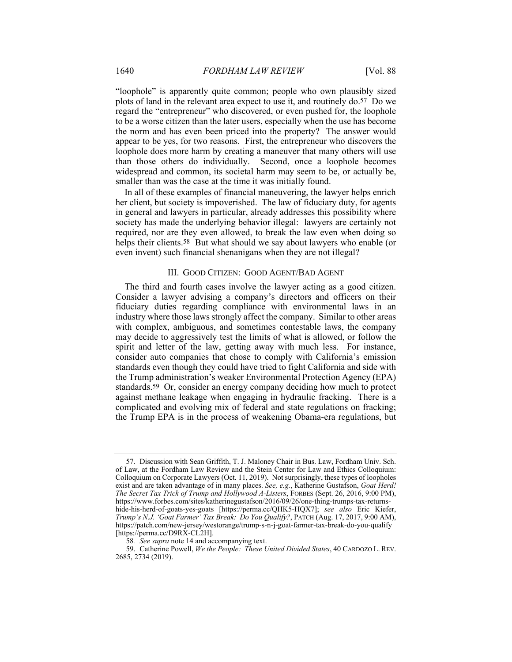"loophole" is apparently quite common; people who own plausibly sized plots of land in the relevant area expect to use it, and routinely do.57 Do we regard the "entrepreneur" who discovered, or even pushed for, the loophole to be a worse citizen than the later users, especially when the use has become the norm and has even been priced into the property? The answer would appear to be yes, for two reasons. First, the entrepreneur who discovers the loophole does more harm by creating a maneuver that many others will use than those others do individually. Second, once a loophole becomes widespread and common, its societal harm may seem to be, or actually be, smaller than was the case at the time it was initially found.

In all of these examples of financial maneuvering, the lawyer helps enrich her client, but society is impoverished. The law of fiduciary duty, for agents in general and lawyers in particular, already addresses this possibility where society has made the underlying behavior illegal: lawyers are certainly not required, nor are they even allowed, to break the law even when doing so helps their clients.<sup>58</sup> But what should we say about lawyers who enable (or even invent) such financial shenanigans when they are not illegal?

### III. GOOD CITIZEN: GOOD AGENT/BAD AGENT

The third and fourth cases involve the lawyer acting as a good citizen. Consider a lawyer advising a company's directors and officers on their fiduciary duties regarding compliance with environmental laws in an industry where those laws strongly affect the company. Similar to other areas with complex, ambiguous, and sometimes contestable laws, the company may decide to aggressively test the limits of what is allowed, or follow the spirit and letter of the law, getting away with much less. For instance, consider auto companies that chose to comply with California's emission standards even though they could have tried to fight California and side with the Trump administration's weaker Environmental Protection Agency (EPA) standards.59 Or, consider an energy company deciding how much to protect against methane leakage when engaging in hydraulic fracking. There is a complicated and evolving mix of federal and state regulations on fracking; the Trump EPA is in the process of weakening Obama-era regulations, but

 <sup>57.</sup> Discussion with Sean Griffith, T. J. Maloney Chair in Bus. Law, Fordham Univ. Sch. of Law, at the Fordham Law Review and the Stein Center for Law and Ethics Colloquium: Colloquium on Corporate Lawyers (Oct. 11, 2019). Not surprisingly, these types of loopholes exist and are taken advantage of in many places. *See, e.g.*, Katherine Gustafson, *Goat Herd! The Secret Tax Trick of Trump and Hollywood A-Listers*, FORBES (Sept. 26, 2016, 9:00 PM), https://www.forbes.com/sites/katherinegustafson/2016/09/26/one-thing-trumps-tax-returnshide-his-herd-of-goats-yes-goats [https://perma.cc/QHK5-HQX7]; *see also* Eric Kiefer, *Trump's N.J. 'Goat Farmer' Tax Break: Do You Qualify?*, PATCH (Aug. 17, 2017, 9:00 AM), https://patch.com/new-jersey/westorange/trump-s-n-j-goat-farmer-tax-break-do-you-qualify [https://perma.cc/D9RX-CL2H].

<sup>58</sup>*. See supra* note 14 and accompanying text.

 <sup>59.</sup> Catherine Powell, *We the People: These United Divided States*, 40 CARDOZO L. REV. 2685, 2734 (2019).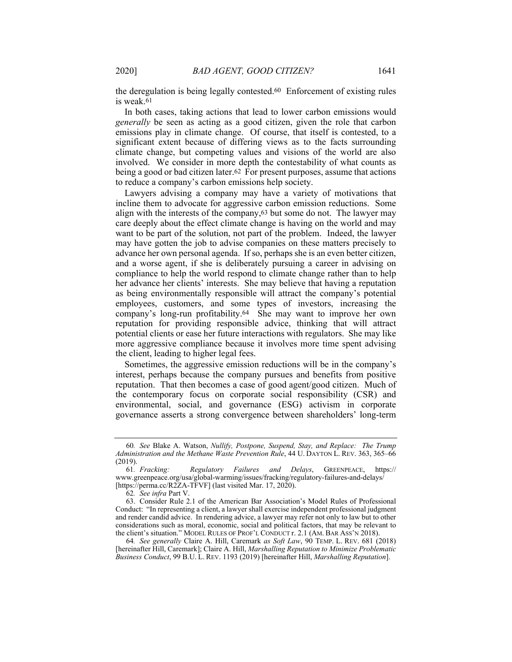the deregulation is being legally contested.60 Enforcement of existing rules is weak.61

In both cases, taking actions that lead to lower carbon emissions would *generally* be seen as acting as a good citizen, given the role that carbon emissions play in climate change. Of course, that itself is contested, to a significant extent because of differing views as to the facts surrounding climate change, but competing values and visions of the world are also involved. We consider in more depth the contestability of what counts as being a good or bad citizen later.62 For present purposes, assume that actions to reduce a company's carbon emissions help society.

Lawyers advising a company may have a variety of motivations that incline them to advocate for aggressive carbon emission reductions. Some align with the interests of the company,63 but some do not. The lawyer may care deeply about the effect climate change is having on the world and may want to be part of the solution, not part of the problem. Indeed, the lawyer may have gotten the job to advise companies on these matters precisely to advance her own personal agenda. If so, perhaps she is an even better citizen, and a worse agent, if she is deliberately pursuing a career in advising on compliance to help the world respond to climate change rather than to help her advance her clients' interests. She may believe that having a reputation as being environmentally responsible will attract the company's potential employees, customers, and some types of investors, increasing the company's long-run profitability.64 She may want to improve her own reputation for providing responsible advice, thinking that will attract potential clients or ease her future interactions with regulators. She may like more aggressive compliance because it involves more time spent advising the client, leading to higher legal fees.

Sometimes, the aggressive emission reductions will be in the company's interest, perhaps because the company pursues and benefits from positive reputation. That then becomes a case of good agent/good citizen. Much of the contemporary focus on corporate social responsibility (CSR) and environmental, social, and governance (ESG) activism in corporate governance asserts a strong convergence between shareholders' long-term

64*. See generally* Claire A. Hill, Caremark *as Soft Law*, 90 TEMP. L. REV. 681 (2018) [hereinafter Hill, Caremark]; Claire A. Hill, *Marshalling Reputation to Minimize Problematic Business Conduct*, 99 B.U. L. REV. 1193 (2019) [hereinafter Hill, *Marshalling Reputation*].

<sup>60</sup>*. See* Blake A. Watson, *Nullify, Postpone, Suspend, Stay, and Replace: The Trump Administration and the Methane Waste Prevention Rule*, 44 U. DAYTON L. REV. 363, 365–66

 $(2019).$  61. *Fracking*: 61*. Fracking: Regulatory Failures and Delays*, GREENPEACE, https:// www.greenpeace.org/usa/global-warming/issues/fracking/regulatory-failures-and-delays/ [https://perma.cc/R2ZA-TFVF] (last visited Mar. 17, 2020).

<sup>62</sup>*. See infra* Part V.

 <sup>63.</sup> Consider Rule 2.1 of the American Bar Association's Model Rules of Professional Conduct: "In representing a client, a lawyer shall exercise independent professional judgment and render candid advice. In rendering advice, a lawyer may refer not only to law but to other considerations such as moral, economic, social and political factors, that may be relevant to the client's situation." MODEL RULES OF PROF'L CONDUCT r. 2.1 (AM. BAR ASS'N 2018).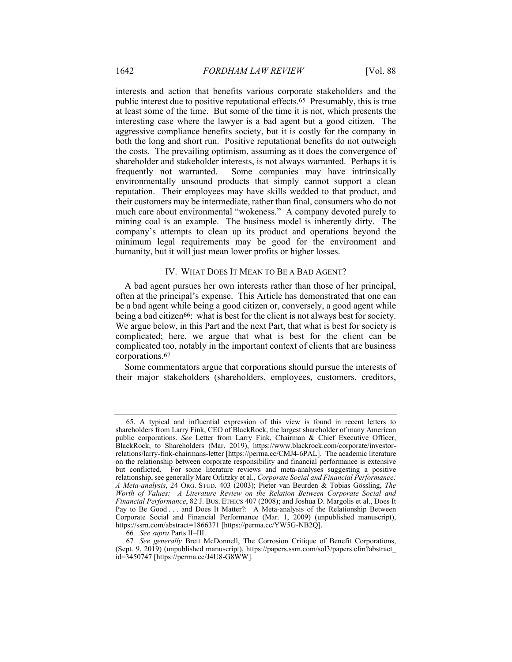interests and action that benefits various corporate stakeholders and the public interest due to positive reputational effects.65 Presumably, this is true at least some of the time. But some of the time it is not, which presents the interesting case where the lawyer is a bad agent but a good citizen. The aggressive compliance benefits society, but it is costly for the company in both the long and short run. Positive reputational benefits do not outweigh the costs. The prevailing optimism, assuming as it does the convergence of shareholder and stakeholder interests, is not always warranted. Perhaps it is frequently not warranted. Some companies may have intrinsically environmentally unsound products that simply cannot support a clean reputation. Their employees may have skills wedded to that product, and their customers may be intermediate, rather than final, consumers who do not much care about environmental "wokeness." A company devoted purely to mining coal is an example. The business model is inherently dirty. The company's attempts to clean up its product and operations beyond the minimum legal requirements may be good for the environment and humanity, but it will just mean lower profits or higher losses.

### IV. WHAT DOES IT MEAN TO BE A BAD AGENT?

A bad agent pursues her own interests rather than those of her principal, often at the principal's expense. This Article has demonstrated that one can be a bad agent while being a good citizen or, conversely, a good agent while being a bad citizen<sup>66</sup>: what is best for the client is not always best for society. We argue below, in this Part and the next Part, that what is best for society is complicated; here, we argue that what is best for the client can be complicated too, notably in the important context of clients that are business corporations.67

Some commentators argue that corporations should pursue the interests of their major stakeholders (shareholders, employees, customers, creditors,

 <sup>65.</sup> A typical and influential expression of this view is found in recent letters to shareholders from Larry Fink, CEO of BlackRock, the largest shareholder of many American public corporations. *See* Letter from Larry Fink, Chairman & Chief Executive Officer, BlackRock, to Shareholders (Mar. 2019), https://www.blackrock.com/corporate/investorrelations/larry-fink-chairmans-letter [https://perma.cc/CMJ4-6PAL]. The academic literature on the relationship between corporate responsibility and financial performance is extensive but conflicted. For some literature reviews and meta-analyses suggesting a positive relationship, see generally Marc Orlitzky et al., *Corporate Social and Financial Performance: A Meta-analysis*, 24 ORG. STUD. 403 (2003); Pieter van Beurden & Tobias Gössling, *The Worth of Values: A Literature Review on the Relation Between Corporate Social and Financial Performance*, 82 J. BUS. ETHICS 407 (2008); and Joshua D. Margolis et al., Does It Pay to Be Good . . . and Does It Matter?: A Meta-analysis of the Relationship Between Corporate Social and Financial Performance (Mar. 1, 2009) (unpublished manuscript), https://ssrn.com/abstract=1866371 [https://perma.cc/YW5G-NB2Q].

<sup>66</sup>*. See supra* Parts II–III.

<sup>67</sup>*. See generally* Brett McDonnell, The Corrosion Critique of Benefit Corporations, (Sept. 9, 2019) (unpublished manuscript), https://papers.ssrn.com/sol3/papers.cfm?abstract\_ id=3450747 [https://perma.cc/J4U8-G8WW].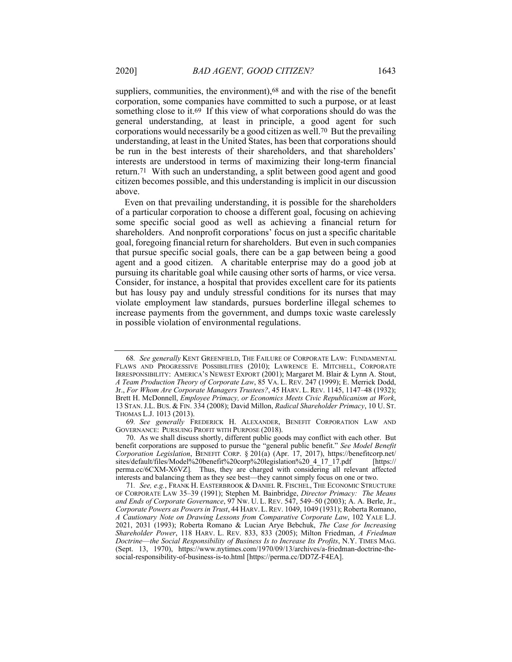suppliers, communities, the environment),<sup>68</sup> and with the rise of the benefit corporation, some companies have committed to such a purpose, or at least something close to it.69 If this view of what corporations should do was the general understanding, at least in principle, a good agent for such corporations would necessarily be a good citizen as well.70 But the prevailing understanding, at least in the United States, has been that corporations should be run in the best interests of their shareholders, and that shareholders' interests are understood in terms of maximizing their long-term financial return.71 With such an understanding, a split between good agent and good citizen becomes possible, and this understanding is implicit in our discussion above.

Even on that prevailing understanding, it is possible for the shareholders of a particular corporation to choose a different goal, focusing on achieving some specific social good as well as achieving a financial return for shareholders. And nonprofit corporations' focus on just a specific charitable goal, foregoing financial return for shareholders. But even in such companies that pursue specific social goals, there can be a gap between being a good agent and a good citizen. A charitable enterprise may do a good job at pursuing its charitable goal while causing other sorts of harms, or vice versa. Consider, for instance, a hospital that provides excellent care for its patients but has lousy pay and unduly stressful conditions for its nurses that may violate employment law standards, pursues borderline illegal schemes to increase payments from the government, and dumps toxic waste carelessly in possible violation of environmental regulations.

<sup>68</sup>*. See generally* KENT GREENFIELD, THE FAILURE OF CORPORATE LAW: FUNDAMENTAL FLAWS AND PROGRESSIVE POSSIBILITIES (2010); LAWRENCE E. MITCHELL, CORPORATE IRRESPONSIBILITY: AMERICA'S NEWEST EXPORT (2001); Margaret M. Blair & Lynn A. Stout, *A Team Production Theory of Corporate Law*, 85 VA. L. REV. 247 (1999); E. Merrick Dodd, Jr., *For Whom Are Corporate Managers Trustees?*, 45 HARV. L. REV. 1145, 1147–48 (1932); Brett H. McDonnell, *Employee Primacy, or Economics Meets Civic Republicanism at Work*, 13 STAN.J.L. BUS. & FIN. 334 (2008); David Millon, *Radical Shareholder Primacy*, 10 U. ST. THOMAS L.J. 1013 (2013).

<sup>69</sup>*. See generally* FREDERICK H. ALEXANDER, BENEFIT CORPORATION LAW AND GOVERNANCE: PURSUING PROFIT WITH PURPOSE (2018).

 <sup>70.</sup> As we shall discuss shortly, different public goods may conflict with each other. But benefit corporations are supposed to pursue the "general public benefit." *See Model Benefit Corporation Legislation*, BENEFIT CORP. § 201(a) (Apr. 17, 2017), https://benefitcorp.net/ sites/default/files/Model%20benefit%20corp%20legislation%20\_4\_17\_17.pdf [https:// perma.cc/6CXM-X6VZ]*.* Thus, they are charged with considering all relevant affected interests and balancing them as they see best—they cannot simply focus on one or two.

<sup>71</sup>*. See, e.g.*, FRANK H. EASTERBROOK & DANIEL R. FISCHEL, THE ECONOMIC STRUCTURE OF CORPORATE LAW 35–39 (1991); Stephen M. Bainbridge, *Director Primacy: The Means and Ends of Corporate Governance*, 97 NW. U. L. REV. 547, 549–50 (2003); A. A. Berle, Jr., *Corporate Powers as Powers in Trust*, 44 HARV.L.REV. 1049, 1049 (1931); Roberta Romano, *A Cautionary Note on Drawing Lessons from Comparative Corporate Law*, 102 YALE L.J. 2021, 2031 (1993); Roberta Romano & Lucian Arye Bebchuk, *The Case for Increasing Shareholder Power*, 118 HARV. L. REV. 833, 833 (2005); Milton Friedman, *A Friedman Doctrine*—*the Social Responsibility of Business Is to Increase Its Profits*, N.Y. TIMES MAG. (Sept. 13, 1970), https://www.nytimes.com/1970/09/13/archives/a-friedman-doctrine-thesocial-responsibility-of-business-is-to.html [https://perma.cc/DD7Z-F4EA].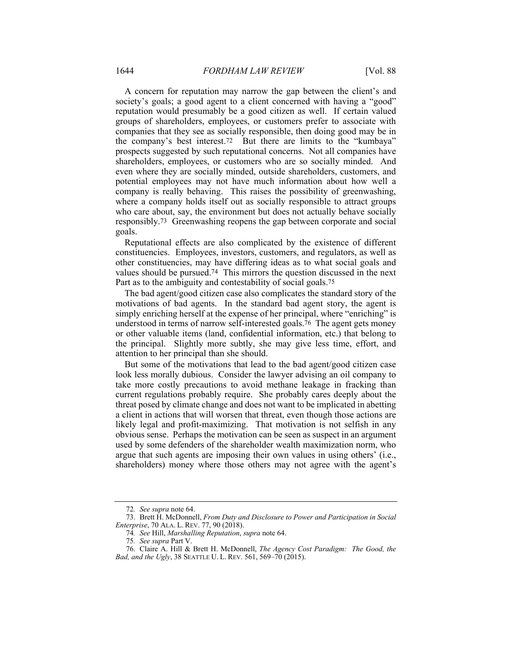A concern for reputation may narrow the gap between the client's and society's goals; a good agent to a client concerned with having a "good" reputation would presumably be a good citizen as well. If certain valued groups of shareholders, employees, or customers prefer to associate with companies that they see as socially responsible, then doing good may be in the company's best interest.72 But there are limits to the "kumbaya" prospects suggested by such reputational concerns. Not all companies have shareholders, employees, or customers who are so socially minded. And even where they are socially minded, outside shareholders, customers, and potential employees may not have much information about how well a company is really behaving. This raises the possibility of greenwashing, where a company holds itself out as socially responsible to attract groups who care about, say, the environment but does not actually behave socially responsibly.73 Greenwashing reopens the gap between corporate and social goals.

Reputational effects are also complicated by the existence of different constituencies. Employees, investors, customers, and regulators, as well as other constituencies, may have differing ideas as to what social goals and values should be pursued.74 This mirrors the question discussed in the next Part as to the ambiguity and contestability of social goals.75

The bad agent/good citizen case also complicates the standard story of the motivations of bad agents. In the standard bad agent story, the agent is simply enriching herself at the expense of her principal, where "enriching" is understood in terms of narrow self-interested goals.76 The agent gets money or other valuable items (land, confidential information, etc.) that belong to the principal. Slightly more subtly, she may give less time, effort, and attention to her principal than she should.

But some of the motivations that lead to the bad agent/good citizen case look less morally dubious. Consider the lawyer advising an oil company to take more costly precautions to avoid methane leakage in fracking than current regulations probably require. She probably cares deeply about the threat posed by climate change and does not want to be implicated in abetting a client in actions that will worsen that threat, even though those actions are likely legal and profit-maximizing. That motivation is not selfish in any obvious sense. Perhaps the motivation can be seen as suspect in an argument used by some defenders of the shareholder wealth maximization norm, who argue that such agents are imposing their own values in using others' (i.e., shareholders) money where those others may not agree with the agent's

<sup>72</sup>*. See supra* note 64.

 <sup>73.</sup> Brett H. McDonnell, *From Duty and Disclosure to Power and Participation in Social Enterprise*, 70 ALA. L. REV. 77, 90 (2018).

<sup>74</sup>*. See* Hill, *Marshalling Reputation*, *supra* note 64.

<sup>75</sup>*. See supra* Part V.

 <sup>76.</sup> Claire A. Hill & Brett H. McDonnell, *The Agency Cost Paradigm: The Good, the Bad, and the Ugly*, 38 SEATTLE U. L. REV. 561, 569–70 (2015).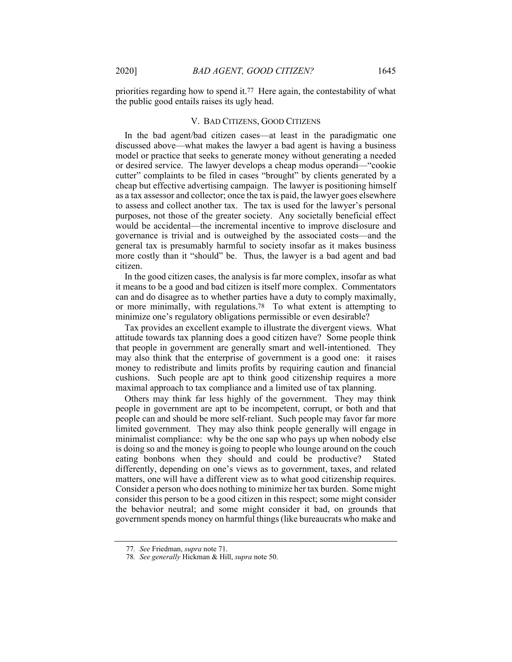priorities regarding how to spend it.77 Here again, the contestability of what the public good entails raises its ugly head.

### V. BAD CITIZENS, GOOD CITIZENS

In the bad agent/bad citizen cases—at least in the paradigmatic one discussed above—what makes the lawyer a bad agent is having a business model or practice that seeks to generate money without generating a needed or desired service. The lawyer develops a cheap modus operandi—"cookie cutter" complaints to be filed in cases "brought" by clients generated by a cheap but effective advertising campaign. The lawyer is positioning himself as a tax assessor and collector; once the tax is paid, the lawyer goes elsewhere to assess and collect another tax. The tax is used for the lawyer's personal purposes, not those of the greater society. Any societally beneficial effect would be accidental—the incremental incentive to improve disclosure and governance is trivial and is outweighed by the associated costs—and the general tax is presumably harmful to society insofar as it makes business more costly than it "should" be. Thus, the lawyer is a bad agent and bad citizen.

In the good citizen cases, the analysis is far more complex, insofar as what it means to be a good and bad citizen is itself more complex. Commentators can and do disagree as to whether parties have a duty to comply maximally, or more minimally, with regulations.78 To what extent is attempting to minimize one's regulatory obligations permissible or even desirable?

Tax provides an excellent example to illustrate the divergent views. What attitude towards tax planning does a good citizen have? Some people think that people in government are generally smart and well-intentioned. They may also think that the enterprise of government is a good one: it raises money to redistribute and limits profits by requiring caution and financial cushions. Such people are apt to think good citizenship requires a more maximal approach to tax compliance and a limited use of tax planning.

Others may think far less highly of the government. They may think people in government are apt to be incompetent, corrupt, or both and that people can and should be more self-reliant. Such people may favor far more limited government. They may also think people generally will engage in minimalist compliance: why be the one sap who pays up when nobody else is doing so and the money is going to people who lounge around on the couch eating bonbons when they should and could be productive? Stated differently, depending on one's views as to government, taxes, and related matters, one will have a different view as to what good citizenship requires. Consider a person who does nothing to minimize her tax burden. Some might consider this person to be a good citizen in this respect; some might consider the behavior neutral; and some might consider it bad, on grounds that government spends money on harmful things (like bureaucrats who make and

<sup>77</sup>*. See* Friedman, *supra* note 71.

<sup>78</sup>*. See generally* Hickman & Hill, *supra* note 50.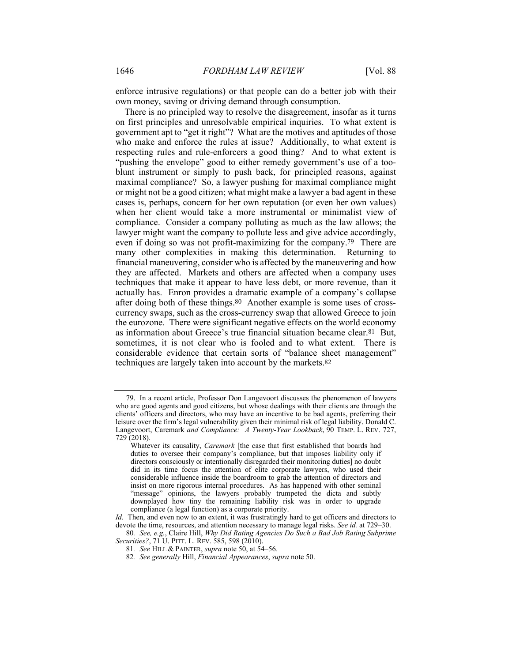enforce intrusive regulations) or that people can do a better job with their own money, saving or driving demand through consumption.

There is no principled way to resolve the disagreement, insofar as it turns on first principles and unresolvable empirical inquiries. To what extent is government apt to "get it right"? What are the motives and aptitudes of those who make and enforce the rules at issue? Additionally, to what extent is respecting rules and rule-enforcers a good thing? And to what extent is "pushing the envelope" good to either remedy government's use of a tooblunt instrument or simply to push back, for principled reasons, against maximal compliance? So, a lawyer pushing for maximal compliance might or might not be a good citizen; what might make a lawyer a bad agent in these cases is, perhaps, concern for her own reputation (or even her own values) when her client would take a more instrumental or minimalist view of compliance. Consider a company polluting as much as the law allows; the lawyer might want the company to pollute less and give advice accordingly, even if doing so was not profit-maximizing for the company.79 There are many other complexities in making this determination. Returning to financial maneuvering, consider who is affected by the maneuvering and how they are affected. Markets and others are affected when a company uses techniques that make it appear to have less debt, or more revenue, than it actually has. Enron provides a dramatic example of a company's collapse after doing both of these things.80 Another example is some uses of crosscurrency swaps, such as the cross-currency swap that allowed Greece to join the eurozone. There were significant negative effects on the world economy as information about Greece's true financial situation became clear.81 But, sometimes, it is not clear who is fooled and to what extent. There is considerable evidence that certain sorts of "balance sheet management" techniques are largely taken into account by the markets.82

 <sup>79.</sup> In a recent article, Professor Don Langevoort discusses the phenomenon of lawyers who are good agents and good citizens, but whose dealings with their clients are through the clients' officers and directors, who may have an incentive to be bad agents, preferring their leisure over the firm's legal vulnerability given their minimal risk of legal liability. Donald C. Langevoort, Caremark *and Compliance: A Twenty-Year Lookback*, 90 TEMP. L. REV. 727, 729 (2018).

Whatever its causality, *Caremark* [the case that first established that boards had duties to oversee their company's compliance, but that imposes liability only if directors consciously or intentionally disregarded their monitoring duties] no doubt did in its time focus the attention of elite corporate lawyers, who used their considerable influence inside the boardroom to grab the attention of directors and insist on more rigorous internal procedures. As has happened with other seminal "message" opinions, the lawyers probably trumpeted the dicta and subtly downplayed how tiny the remaining liability risk was in order to upgrade compliance (a legal function) as a corporate priority.

*Id.* Then, and even now to an extent, it was frustratingly hard to get officers and directors to devote the time, resources, and attention necessary to manage legal risks. *See id.* at 729–30.

<sup>80</sup>*. See, e.g.*, Claire Hill, *Why Did Rating Agencies Do Such a Bad Job Rating Subprime Securities?*, 71 U. PITT. L. REV. 585, 598 (2010).

<sup>81</sup>*. See* HILL & PAINTER, *supra* note 50, at 54–56.

<sup>82</sup>*. See generally* Hill, *Financial Appearances*, *supra* note 50.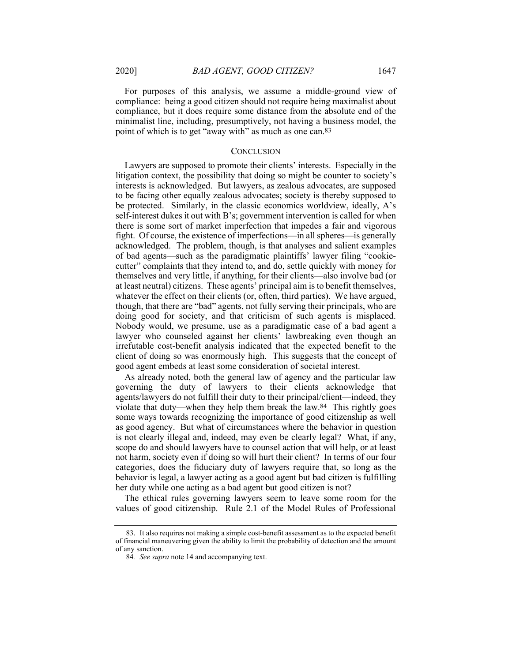For purposes of this analysis, we assume a middle-ground view of compliance: being a good citizen should not require being maximalist about compliance, but it does require some distance from the absolute end of the minimalist line, including, presumptively, not having a business model, the point of which is to get "away with" as much as one can.83

#### **CONCLUSION**

Lawyers are supposed to promote their clients' interests. Especially in the litigation context, the possibility that doing so might be counter to society's interests is acknowledged. But lawyers, as zealous advocates, are supposed to be facing other equally zealous advocates; society is thereby supposed to be protected. Similarly, in the classic economics worldview, ideally, A's self-interest dukes it out with B's; government intervention is called for when there is some sort of market imperfection that impedes a fair and vigorous fight. Of course, the existence of imperfections—in all spheres—is generally acknowledged. The problem, though, is that analyses and salient examples of bad agents—such as the paradigmatic plaintiffs' lawyer filing "cookiecutter" complaints that they intend to, and do, settle quickly with money for themselves and very little, if anything, for their clients—also involve bad (or at least neutral) citizens. These agents' principal aim is to benefit themselves, whatever the effect on their clients (or, often, third parties). We have argued, though, that there are "bad" agents, not fully serving their principals, who are doing good for society, and that criticism of such agents is misplaced. Nobody would, we presume, use as a paradigmatic case of a bad agent a lawyer who counseled against her clients' lawbreaking even though an irrefutable cost-benefit analysis indicated that the expected benefit to the client of doing so was enormously high. This suggests that the concept of good agent embeds at least some consideration of societal interest.

As already noted, both the general law of agency and the particular law governing the duty of lawyers to their clients acknowledge that agents/lawyers do not fulfill their duty to their principal/client—indeed, they violate that duty—when they help them break the law.84 This rightly goes some ways towards recognizing the importance of good citizenship as well as good agency. But what of circumstances where the behavior in question is not clearly illegal and, indeed, may even be clearly legal? What, if any, scope do and should lawyers have to counsel action that will help, or at least not harm, society even if doing so will hurt their client? In terms of our four categories, does the fiduciary duty of lawyers require that, so long as the behavior is legal, a lawyer acting as a good agent but bad citizen is fulfilling her duty while one acting as a bad agent but good citizen is not?

The ethical rules governing lawyers seem to leave some room for the values of good citizenship. Rule 2.1 of the Model Rules of Professional

 <sup>83.</sup> It also requires not making a simple cost-benefit assessment as to the expected benefit of financial maneuvering given the ability to limit the probability of detection and the amount of any sanction.

<sup>84</sup>*. See supra* note 14 and accompanying text.